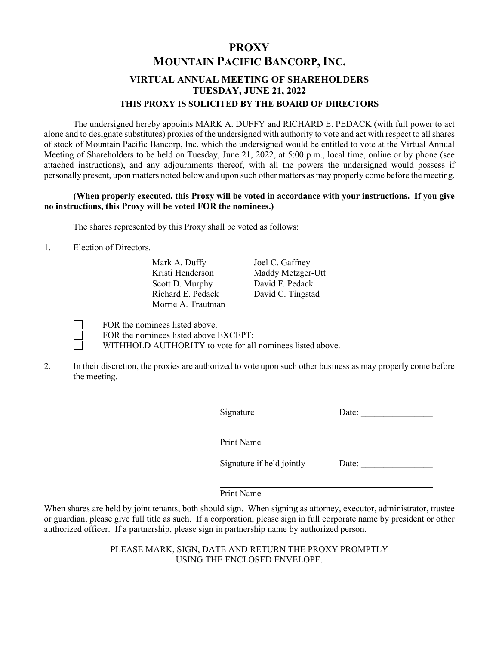## **PROXY MOUNTAIN PACIFIC BANCORP,INC. VIRTUAL ANNUAL MEETING OF SHAREHOLDERS TUESDAY, JUNE 21, 2022 THIS PROXY IS SOLICITED BY THE BOARD OF DIRECTORS**

The undersigned hereby appoints MARK A. DUFFY and RICHARD E. PEDACK (with full power to act alone and to designate substitutes) proxies of the undersigned with authority to vote and act with respect to all shares of stock of Mountain Pacific Bancorp, Inc. which the undersigned would be entitled to vote at the Virtual Annual Meeting of Shareholders to be held on Tuesday, June 21, 2022, at 5:00 p.m., local time, online or by phone (see attached instructions), and any adjournments thereof, with all the powers the undersigned would possess if personally present, upon matters noted below and upon such other matters as may properly come before the meeting.

## **(When properly executed, this Proxy will be voted in accordance with your instructions. If you give no instructions, this Proxy will be voted FOR the nominees.)**

The shares represented by this Proxy shall be voted as follows:

1. Election of Directors.

Mark A. Duffy Joel C. Gaffney Scott D. Murphy David F. Pedack Morrie A. Trautman

Kristi Henderson Maddy Metzger-Utt Richard E. Pedack David C. Tingstad

 FOR the nominees listed above. FOR the nominees listed above EXCEPT:

WITHHOLD AUTHORITY to vote for all nominees listed above.

2. In their discretion, the proxies are authorized to vote upon such other business as may properly come before the meeting.

| Signature                 | Date: |  |
|---------------------------|-------|--|
| Print Name                |       |  |
| Signature if held jointly | Date: |  |

## Print Name

When shares are held by joint tenants, both should sign. When signing as attorney, executor, administrator, trustee or guardian, please give full title as such. If a corporation, please sign in full corporate name by president or other authorized officer. If a partnership, please sign in partnership name by authorized person.

> PLEASE MARK, SIGN, DATE AND RETURN THE PROXY PROMPTLY USING THE ENCLOSED ENVELOPE.